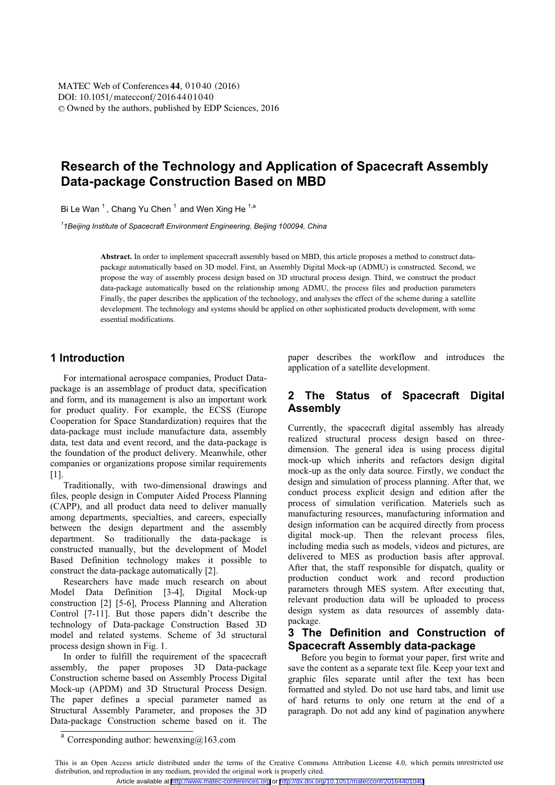DOI: 10.1051/matecconf/20164401040 -<sup>C</sup> Owned by the authors, published by EDP Sciences, 201 6 MATEC Web of Conferences 44, 01040 (2016)

# **Research of the Technology and Application of Spacecraft Assembly Data-package Construction Based on MBD**

Bi Le Wan<sup>1</sup>, Chang Yu Chen<sup>1</sup> and Wen Xing He<sup>1,a</sup>

*1 1Beijing Institute of Spacecraft Environment Engineering, Beijing 100094, China* 

**Abstract.** In order to implement spacecraft assembly based on MBD, this article proposes a method to construct datapackage automatically based on 3D model. First, an Assembly Digital Mock-up (ADMU) is constructed. Second, we propose the way of assembly process design based on 3D structural process design. Third, we construct the product data-package automatically based on the relationship among ADMU, the process files and production parameters Finally, the paper describes the application of the technology, and analyses the effect of the scheme during a satellite development. The technology and systems should be applied on other sophisticated products development, with some essential modifications.

### **1 Introduction**

For international aerospace companies, Product Datapackage is an assemblage of product data, specification and form, and its management is also an important work for product quality. For example, the ECSS (Europe Cooperation for Space Standardization) requires that the data-package must include manufacture data, assembly data, test data and event record, and the data-package is the foundation of the product delivery. Meanwhile, other companies or organizations propose similar requirements [1].

Traditionally, with two-dimensional drawings and files, people design in Computer Aided Process Planning (CAPP), and all product data need to deliver manually among departments, specialties, and careers, especially between the design department and the assembly department. So traditionally the data-package is constructed manually, but the development of Model Based Definition technology makes it possible to construct the data-package automatically [2].

Researchers have made much research on about Model Data Definition [3-4], Digital Mock-up construction [2] [5-6], Process Planning and Alteration Control [7-11]. But those papers didn't describe the technology of Data-package Construction Based 3D model and related systems. Scheme of 3d structural process design shown in Fig. 1.

In order to fulfill the requirement of the spacecraft assembly, the paper proposes 3D Data-package Construction scheme based on Assembly Process Digital Mock-up (APDM) and 3D Structural Process Design. The paper defines a special parameter named as Structural Assembly Parameter, and proposes the 3D Data-package Construction scheme based on it. The paper describes the workflow and introduces the application of a satellite development.

# **2 The Status of Spacecraft Digital Assembly**

Currently, the spacecraft digital assembly has already realized structural process design based on threedimension. The general idea is using process digital mock-up which inherits and refactors design digital mock-up as the only data source. Firstly, we conduct the design and simulation of process planning. After that, we conduct process explicit design and edition after the process of simulation verification. Materiels such as manufacturing resources, manufacturing information and design information can be acquired directly from process digital mock-up. Then the relevant process files, including media such as models, videos and pictures, are delivered to MES as production basis after approval. After that, the staff responsible for dispatch, quality or production conduct work and record production parameters through MES system. After executing that, relevant production data will be uploaded to process design system as data resources of assembly datapackage.

### **3 The Definition and Construction of Spacecraft Assembly data-package**

Before you begin to format your paper, first write and save the content as a separate text file. Keep your text and graphic files separate until after the text has been formatted and styled. Do not use hard tabs, and limit use of hard returns to only one return at the end of a paragraph. Do not add any kind of pagination anywhere

Corresponding author: hewenxing $@163$ .com a

This is an Open Access article distributed under the terms of the Creative Commons Attribution License 4.0, which permits unrestricted use distribution, and reproduction in any medium, provided the original work is properly cited. Article available at <http://www.matec-conferences.org> or <http://dx.doi.org/10.1051/matecconf/20164401040>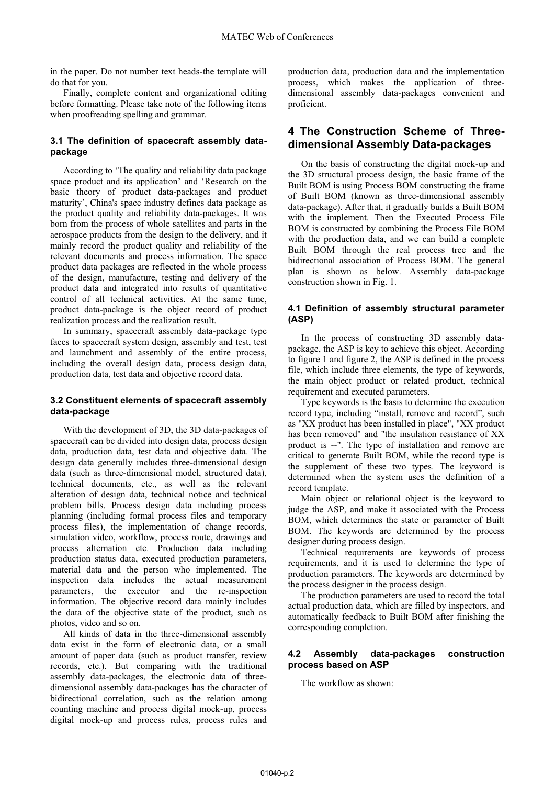in the paper. Do not number text heads-the template will do that for you.

Finally, complete content and organizational editing before formatting. Please take note of the following items when proofreading spelling and grammar.

#### **3.1 The definition of spacecraft assembly datapackage**

According to 'The quality and reliability data package space product and its application' and 'Research on the basic theory of product data-packages and product maturity', China's space industry defines data package as the product quality and reliability data-packages. It was born from the process of whole satellites and parts in the aerospace products from the design to the delivery, and it mainly record the product quality and reliability of the relevant documents and process information. The space product data packages are reflected in the whole process of the design, manufacture, testing and delivery of the product data and integrated into results of quantitative control of all technical activities. At the same time, product data-package is the object record of product realization process and the realization result.

In summary, spacecraft assembly data-package type faces to spacecraft system design, assembly and test, test and launchment and assembly of the entire process, including the overall design data, process design data, production data, test data and objective record data.

#### **of spacecraft assembly 3.2 Constituent elements data-package**

With the development of 3D, the 3D data-packages of spacecraft can be divided into design data, process design data, production data, test data and objective data. The design data generally includes three-dimensional design data (such as three-dimensional model, structured data), technical documents, etc., as well as the relevant alteration of design data, technical notice and technical problem bills. Process design data including process planning (including formal process files and temporary process files), the implementation of change records, simulation video, workflow, process route, drawings and process alternation etc. Production data including production status data, executed production parameters, material data and the person who implemented. The inspection data includes the actual measurement parameters, the executor and the re-inspection information. The objective record data mainly includes the data of the objective state of the product, such as photos, video and so on.

All kinds of data in the three-dimensional assembly data exist in the form of electronic data, or a small amount of paper data (such as product transfer, review records, etc.). But comparing with the traditional assembly data-packages, the electronic data of threedimensional assembly data-packages has the character of bidirectional correlation, such as the relation among counting machine and process digital mock-up, process digital mock-up and process rules, process rules and production data, production data and the implementation process, which makes the application of threedimensional assembly data-packages convenient and proficient.

## **4 The Construction Scheme of Threedimensional Assembly Data-packages**

On the basis of constructing the digital mock-up and the 3D structural process design, the basic frame of the Built BOM is using Process BOM constructing the frame of Built BOM (known as three-dimensional assembly data-package). After that, it gradually builds a Built BOM with the implement. Then the Executed Process File BOM is constructed by combining the Process File BOM with the production data, and we can build a complete Built BOM through the real process tree and the bidirectional association of Process BOM. The general plan is shown as below. Assembly data-package construction shown in Fig. 1.

#### **4.1 Definition of assembly structural parameter (ASP)**

In the process of constructing 3D assembly datapackage, the ASP is key to achieve this object. According to figure 1 and figure 2, the ASP is defined in the process file, which include three elements, the type of keywords, the main object product or related product, technical requirement and executed parameters.

Type keywords is the basis to determine the execution record type, including "install, remove and record", such as "XX product has been installed in place", "XX product has been removed" and "the insulation resistance of XX product is --". The type of installation and remove are critical to generate Built BOM, while the record type is the supplement of these two types. The keyword is determined when the system uses the definition of a record template.

Main object or relational object is the keyword to judge the ASP, and make it associated with the Process BOM, which determines the state or parameter of Built BOM. The keywords are determined by the process designer during process design.

Technical requirements are keywords of process requirements, and it is used to determine the type of production parameters. The keywords are determined by the process designer in the process design.

The production parameters are used to record the total actual production data, which are filled by inspectors, and automatically feedback to Built BOM after finishing the corresponding completion.

#### **4.2 Assembly data-packages construction process based on ASP**

The workflow as shown: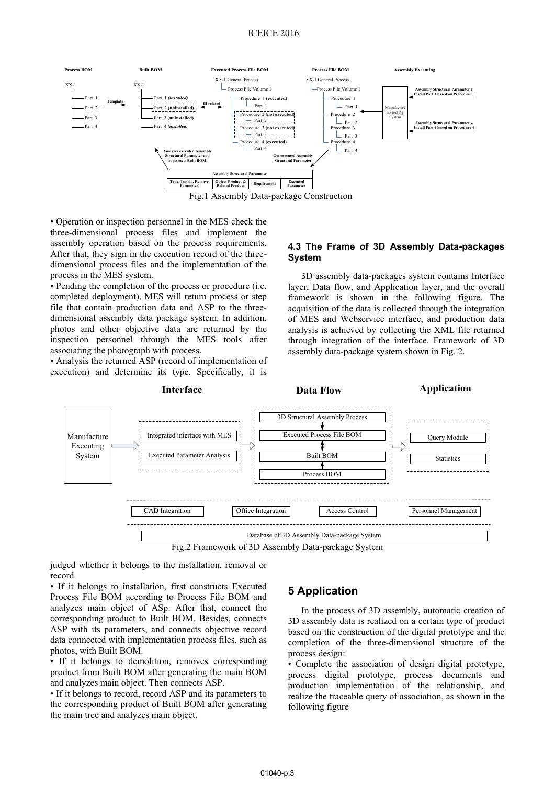

• Operation or inspection personnel in the MES check the three-dimensional process files and implement the assembly operation based on the process requirements. After that, they sign in the execution record of the threedimensional process files and the implementation of the process in the MES system.

• Pending the completion of the process or procedure (i.e. completed deployment), MES will return process or step file that contain production data and ASP to the threedimensional assembly data package system. In addition, photos and other objective data are returned by the inspection personnel through the MES tools after associating the photograph with process.

• Analysis the returned ASP (record of implementation of execution) and determine its type. Specifically, it is

#### **4.3 The Frame of 3D Assembly Data-packages System**

3D assembly data-packages system contains Interface layer, Data flow, and Application layer, and the overall framework is shown in the following figure. The acquisition of the data is collected through the integration of MES and Webservice interface, and production data analysis is achieved by collecting the XML file returned through integration of the interface. Framework of 3D assembly data-package system shown in Fig. 2.



Fig.2 Framework of 3D Assembly Data-package System

judged whether it belongs to the installation, removal or record.

• If it belongs to installation, first constructs Executed Process File BOM according to Process File BOM and analyzes main object of ASp. After that, connect the corresponding product to Built BOM. Besides, connects ASP with its parameters, and connects objective record data connected with implementation process files, such as photos, with Built BOM.

• If it belongs to demolition, removes corresponding product from Built BOM after generating the main BOM and analyzes main object. Then connects ASP.

• If it belongs to record, record ASP and its parameters to the corresponding product of Built BOM after generating the main tree and analyzes main object.

# **5 Application**

**Interface Data Flow Application**

In the process of 3D assembly, automatic creation of 3D assembly data is realized on a certain type of product based on the construction of the digital prototype and the completion of the three-dimensional structure of the process design:

• Complete the association of design digital prototype, process digital prototype, process documents and production implementation of the relationship, and realize the traceable query of association, as shown in the following figure